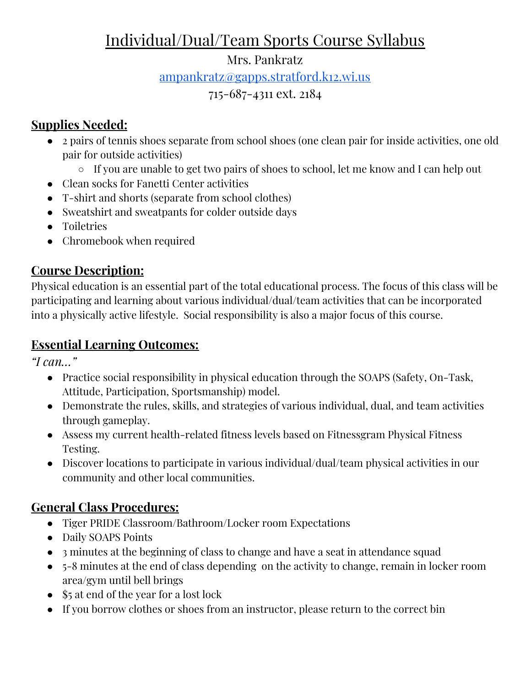# Individual/Dual/Team Sports Course Syllabus

#### Mrs. Pankratz

[ampankratz@gapps.stratford.k12.wi.us](mailto:ampankratz@gapps.stratford.k12.wi.us)

#### 715-687-4311 ext. 2184

### **Supplies Needed:**

- 2 pairs of tennis shoes separate from school shoes (one clean pair for inside activities, one old pair for outside activities)
	- If you are unable to get two pairs of shoes to school, let me know and I can help out
- Clean socks for Fanetti Center activities
- T-shirt and shorts (separate from school clothes)
- Sweatshirt and sweatpants for colder outside days
- Toiletries
- Chromebook when required

### **Course Description:**

Physical education is an essential part of the total educational process. The focus of this class will be participating and learning about various individual/dual/team activities that can be incorporated into a physically active lifestyle. Social responsibility is also a major focus of this course.

### **Essential Learning Outcomes:**

*"I can…"*

- Practice social responsibility in physical education through the SOAPS (Safety, On-Task, Attitude, Participation, Sportsmanship) model.
- Demonstrate the rules, skills, and strategies of various individual, dual, and team activities through gameplay.
- Assess my current health-related fitness levels based on Fitnessgram Physical Fitness Testing.
- Discover locations to participate in various individual/dual/team physical activities in our community and other local communities.

### **General Class Procedures:**

- Tiger PRIDE Classroom/Bathroom/Locker room Expectations
- Daily SOAPS Points
- 3 minutes at the beginning of class to change and have a seat in attendance squad
- 5-8 minutes at the end of class depending on the activity to change, remain in locker room area/gym until bell brings
- \$5 at end of the year for a lost lock
- If you borrow clothes or shoes from an instructor, please return to the correct bin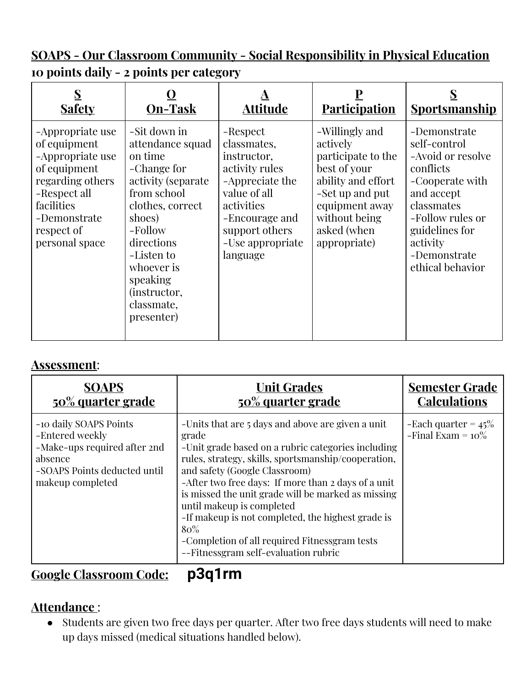**SOAPS - Our Classroom Community - Social Responsibility in Physical Education 10 points daily - 2 points per category**

| <b>Safety</b>                                                                                                                                                          | <b>On-Task</b>                                                                                                                                                                                                                                     | Attitude                                                                                                                                                                      | <b>Participation</b>                                                                                                                                                        | <u>Sportsmanship</u>                                                                                                                                                                                |
|------------------------------------------------------------------------------------------------------------------------------------------------------------------------|----------------------------------------------------------------------------------------------------------------------------------------------------------------------------------------------------------------------------------------------------|-------------------------------------------------------------------------------------------------------------------------------------------------------------------------------|-----------------------------------------------------------------------------------------------------------------------------------------------------------------------------|-----------------------------------------------------------------------------------------------------------------------------------------------------------------------------------------------------|
| -Appropriate use<br>of equipment<br>-Appropriate use<br>of equipment<br>regarding others<br>-Respect all<br>facilities<br>-Demonstrate<br>respect of<br>personal space | -Sit down in<br>attendance squad<br>on time<br>-Change for<br>activity (separate)<br>from school<br>clothes, correct<br>shoes)<br>-Follow<br>directions<br>-Listen to<br>whoever is<br>speaking<br><i>(instructor,</i><br>classmate,<br>presenter) | -Respect<br>classmates,<br>instructor,<br>activity rules<br>-Appreciate the<br>value of all<br>activities<br>-Encourage and<br>support others<br>-Use appropriate<br>language | -Willingly and<br>actively<br>participate to the<br>best of your<br>ability and effort<br>-Set up and put<br>equipment away<br>without being<br>asked (when<br>appropriate) | -Demonstrate<br>self-control<br>-Avoid or resolve<br>conflicts<br>-Cooperate with<br>and accept<br>classmates<br>-Follow rules or<br>guidelines for<br>activity<br>-Demonstrate<br>ethical behavior |

#### **Assessment**:

| <b>SOAPS</b>                                                                                                                             | <b>Unit Grades</b>                                                                                                                                                                                                                                                                                                                                                                                                                                                                                         | <b>Semester Grade</b>                          |
|------------------------------------------------------------------------------------------------------------------------------------------|------------------------------------------------------------------------------------------------------------------------------------------------------------------------------------------------------------------------------------------------------------------------------------------------------------------------------------------------------------------------------------------------------------------------------------------------------------------------------------------------------------|------------------------------------------------|
| <u>50% quarter grade</u>                                                                                                                 | 50% quarter grade                                                                                                                                                                                                                                                                                                                                                                                                                                                                                          | <b>Calculations</b>                            |
| -10 daily SOAPS Points<br>-Entered weekly<br>-Make-ups required after 2nd<br>absence<br>-SOAPS Points deducted until<br>makeup completed | -Units that are 5 days and above are given a unit<br>grade<br>-Unit grade based on a rubric categories including<br>rules, strategy, skills, sportsmanship/cooperation,<br>and safety (Google Classroom)<br>-After two free days: If more than 2 days of a unit<br>is missed the unit grade will be marked as missing<br>until makeup is completed<br>-If makeup is not completed, the highest grade is<br>$80\%$<br>-Completion of all required Fitnessgram tests<br>--Fitnessgram self-evaluation rubric | -Each quarter = $45\%$<br>-Final Exam = $10\%$ |

## **Google Classroom Code: p3q1rm**

#### **Attendance** :

● Students are given two free days per quarter. After two free days students will need to make up days missed (medical situations handled below).